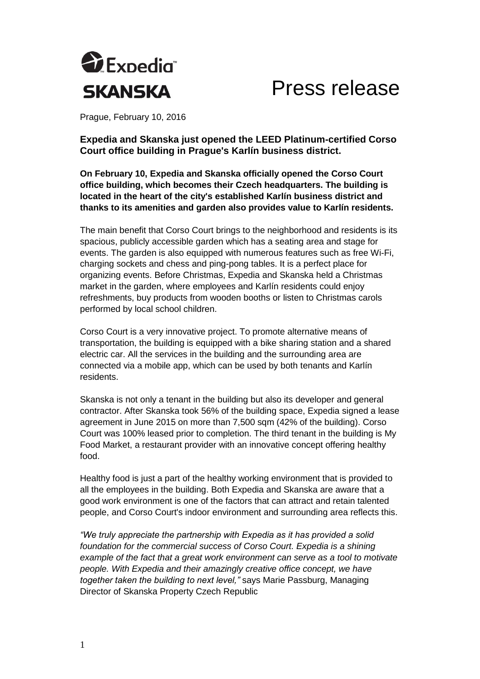

Press release

Prague, February 10, 2016

**Expedia and Skanska just opened the LEED Platinum-certified Corso Court office building in Prague's Karlín business district.** 

**On February 10, Expedia and Skanska officially opened the Corso Court office building, which becomes their Czech headquarters. The building is located in the heart of the city's established Karlín business district and thanks to its amenities and garden also provides value to Karlín residents.** 

The main benefit that Corso Court brings to the neighborhood and residents is its spacious, publicly accessible garden which has a seating area and stage for events. The garden is also equipped with numerous features such as free Wi-Fi, charging sockets and chess and ping-pong tables. It is a perfect place for organizing events. Before Christmas, Expedia and Skanska held a Christmas market in the garden, where employees and Karlín residents could enjoy refreshments, buy products from wooden booths or listen to Christmas carols performed by local school children.

Corso Court is a very innovative project. To promote alternative means of transportation, the building is equipped with a bike sharing station and a shared electric car. All the services in the building and the surrounding area are connected via a mobile app, which can be used by both tenants and Karlín residents.

Skanska is not only a tenant in the building but also its developer and general contractor. After Skanska took 56% of the building space, Expedia signed a lease agreement in June 2015 on more than 7,500 sqm (42% of the building). Corso Court was 100% leased prior to completion. The third tenant in the building is My Food Market, a restaurant provider with an innovative concept offering healthy food.

Healthy food is just a part of the healthy working environment that is provided to all the employees in the building. Both Expedia and Skanska are aware that a good work environment is one of the factors that can attract and retain talented people, and Corso Court's indoor environment and surrounding area reflects this.

*"We truly appreciate the partnership with Expedia as it has provided a solid foundation for the commercial success of Corso Court. Expedia is a shining example of the fact that a great work environment can serve as a tool to motivate people. With Expedia and their amazingly creative office concept, we have together taken the building to next level,"* says Marie Passburg, Managing Director of Skanska Property Czech Republic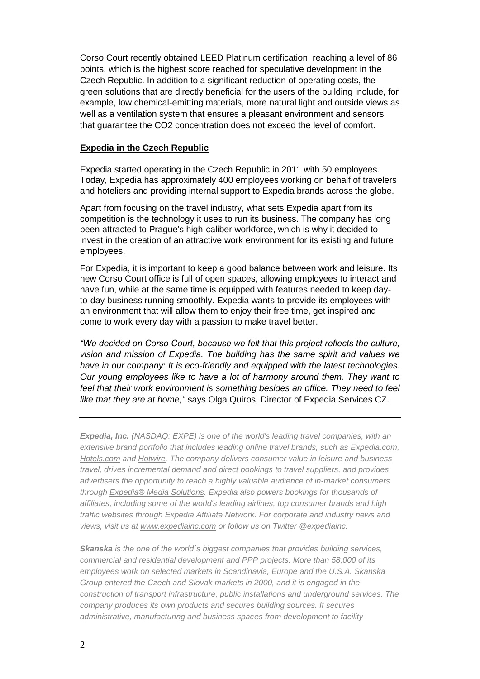Corso Court recently obtained LEED Platinum certification, reaching a level of 86 points, which is the highest score reached for speculative development in the Czech Republic. In addition to a significant reduction of operating costs, the green solutions that are directly beneficial for the users of the building include, for example, low chemical-emitting materials, more natural light and outside views as well as a ventilation system that ensures a pleasant environment and sensors that guarantee the CO2 concentration does not exceed the level of comfort.

## **Expedia in the Czech Republic**

Expedia started operating in the Czech Republic in 2011 with 50 employees. Today, Expedia has approximately 400 employees working on behalf of travelers and hoteliers and providing internal support to Expedia brands across the globe.

Apart from focusing on the travel industry, what sets Expedia apart from its competition is the technology it uses to run its business. The company has long been attracted to Prague's high-caliber workforce, which is why it decided to invest in the creation of an attractive work environment for its existing and future employees.

For Expedia, it is important to keep a good balance between work and leisure. Its new Corso Court office is full of open spaces, allowing employees to interact and have fun, while at the same time is equipped with features needed to keep dayto-day business running smoothly. Expedia wants to provide its employees with an environment that will allow them to enjoy their free time, get inspired and come to work every day with a passion to make travel better.

*"We decided on Corso Court, because we felt that this project reflects the culture, vision and mission of Expedia. The building has the same spirit and values we have in our company: It is eco-friendly and equipped with the latest technologies. Our young employees like to have a lot of harmony around them. They want to feel that their work environment is something besides an office. They need to feel like that they are at home,"* says Olga Quiros, Director of Expedia Services CZ.

*Expedia, Inc. (NASDAQ: EXPE) is one of the world's leading travel companies, with an extensive brand portfolio that includes leading online travel brands, such as [Expedia.com,](http://www.expedia.com/) [Hotels.com](http://www.hotels.com/) and [Hotwire.](http://www.hotwire.com/) The company delivers consumer value in leisure and business travel, drives incremental demand and direct bookings to travel suppliers, and provides advertisers the opportunity to reach a highly valuable audience of in-market consumers through [Expedia® Media Solutions.](http://www.advertising.expedia.com/) Expedia also powers bookings for thousands of affiliates, including some of the world's leading airlines, top consumer brands and high traffic websites through Expedia Affiliate Network. For corporate and industry news and views, visit us at [www.expediainc.com](http://www.expediainc.com/) or follow us on Twitter @expediainc.*

*Skanska is the one of the world´s biggest companies that provides building services, commercial and residential development and PPP projects. More than 58,000 of its employees work on selected markets in Scandinavia, Europe and the U.S.A. Skanska Group entered the Czech and Slovak markets in 2000, and it is engaged in the construction of transport infrastructure, public installations and underground services. The company produces its own products and secures building sources. It secures administrative, manufacturing and business spaces from development to facility*